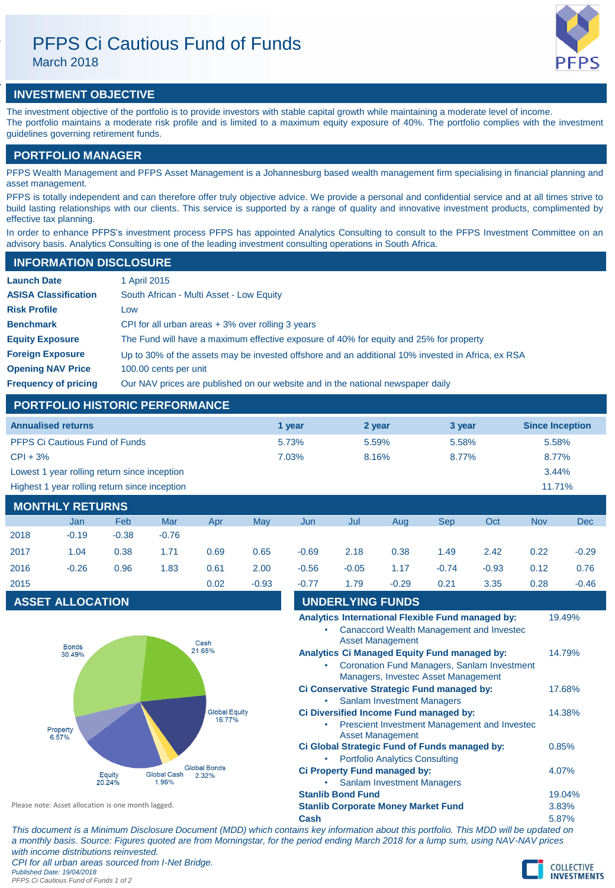# PFPS Ci Cautious Fund of Funds

March 2018



# **INVESTMENT OBJECTIVE**

The investment objective of the portfolio is to provide investors with stable capital growth while maintaining a moderate level of income. The portfolio maintains a moderate risk profile and is limited to a maximum equity exposure of 40%. The portfolio complies with the investment guidelines governing retirement funds.

# **PORTFOLIO MANAGER**

PFPS Wealth Management and PFPS Asset Management is a Johannesburg based wealth management firm specialising in financial planning and asset management.

PFPS is totally independent and can therefore offer truly objective advice. We provide a personal and confidential service and at all times strive to build lasting relationships with our clients. This service is supported by a range of quality and innovative investment products, complimented by effective tax planning.

In order to enhance PFPS's investment process PFPS has appointed Analytics Consulting to consult to the PFPS Investment Committee on an advisory basis. Analytics Consulting is one of the leading investment consulting operations in South Africa.

## **INFORMATION DISCLOSURE**

| <b>Launch Date</b>          | 1 April 2015                                                                                      |
|-----------------------------|---------------------------------------------------------------------------------------------------|
| <b>ASISA Classification</b> | South African - Multi Asset - Low Equity                                                          |
| <b>Risk Profile</b>         | Low                                                                                               |
| <b>Benchmark</b>            | CPI for all urban areas $+3\%$ over rolling 3 years                                               |
| <b>Equity Exposure</b>      | The Fund will have a maximum effective exposure of 40% for equity and 25% for property            |
| <b>Foreign Exposure</b>     | Up to 30% of the assets may be invested offshore and an additional 10% invested in Africa, ex RSA |
| <b>Opening NAV Price</b>    | 100.00 cents per unit                                                                             |
| <b>Frequency of pricing</b> | Our NAV prices are published on our website and in the national newspaper daily                   |

# **PORTFOLIO HISTORIC PERFORMANCE**

| <b>Annualised returns</b>                               | 1 year | 2 year | 3 year | <b>Since Inception</b> |  |  |
|---------------------------------------------------------|--------|--------|--------|------------------------|--|--|
| <b>PFPS Ci Cautious Fund of Funds</b>                   | 5.73%  | 5.59%  | 5.58%  | 5.58%                  |  |  |
| $CPI + 3%$                                              | 7.03%  | 8.16%  | 8.77%  | 8.77%                  |  |  |
| Lowest 1 year rolling return since inception            |        |        |        | $3.44\%$               |  |  |
| Highest 1 year rolling return since inception<br>11.71% |        |        |        |                        |  |  |
| <b>MONTHLY RETURNS</b>                                  |        |        |        |                        |  |  |

|      | <b>INUNIFILI REIURINO</b> |         |         |      |         |         |         |         |         |         |            |            |
|------|---------------------------|---------|---------|------|---------|---------|---------|---------|---------|---------|------------|------------|
|      | Jan                       | Feb     | Mar     | Apr  | May     | Jun     | Jul     | Aug     | Sep     | Oct     | <b>Nov</b> | <b>Dec</b> |
| 2018 | $-0.19$                   | $-0.38$ | $-0.76$ |      |         |         |         |         |         |         |            |            |
| 2017 | 1.04                      | 0.38    | 1.71    | 0.69 | 0.65    | $-0.69$ | 2.18    | 0.38    | 1.49    | 2.42    | 0.22       | $-0.29$    |
| 2016 | $-0.26$                   | 0.96    | 1.83    | 0.61 | 2.00    | $-0.56$ | $-0.05$ | 1.17    | $-0.74$ | $-0.93$ | 0.12       | 0.76       |
| 2015 |                           |         |         | 0.02 | $-0.93$ | $-0.77$ | 1.79    | $-0.29$ | 0.21    | 3.35    | 0.28       | $-0.46$    |
|      |                           |         |         |      |         |         |         |         |         |         |            |            |

# **ASSET ALLOCATION**



| $-0.56$                                                                            | $-0.05$                                             | 1.17                                  | $-0.74$                                  | $-0.93$ | 0.12  | 0.     |  |  |
|------------------------------------------------------------------------------------|-----------------------------------------------------|---------------------------------------|------------------------------------------|---------|-------|--------|--|--|
| $-0.77$                                                                            | 1.79                                                | $-0.29$                               | 0.21                                     | 3.35    | 0.28  | -0     |  |  |
| <b>UNDERLYING FUNDS</b>                                                            |                                                     |                                       |                                          |         |       |        |  |  |
| Analytics International Flexible Fund managed by:                                  |                                                     |                                       |                                          |         |       |        |  |  |
|                                                                                    |                                                     | <b>Asset Management</b>               | Canaccord Wealth Management and Investec |         |       |        |  |  |
|                                                                                    | <b>Analytics Ci Managed Equity Fund managed by:</b> |                                       |                                          |         |       | 14.79% |  |  |
| Coronation Fund Managers, Sanlam Investment<br>Managers, Investec Asset Management |                                                     |                                       |                                          |         |       |        |  |  |
| Ci Conservative Strategic Fund managed by:                                         |                                                     |                                       |                                          |         |       | 17.68% |  |  |
|                                                                                    |                                                     | <b>Sanlam Investment Managers</b>     |                                          |         |       |        |  |  |
| Ci Diversified Income Fund managed by:                                             |                                                     |                                       |                                          |         |       |        |  |  |
| Prescient Investment Management and Investec<br><b>Asset Management</b>            |                                                     |                                       |                                          |         |       |        |  |  |
|                                                                                    | Ci Global Strategic Fund of Funds managed by:       |                                       |                                          |         | 0.85% |        |  |  |
|                                                                                    |                                                     | <b>Portfolio Analytics Consulting</b> |                                          |         |       |        |  |  |
|                                                                                    | Ci Property Fund managed by:                        |                                       |                                          |         | 4.07% |        |  |  |
|                                                                                    |                                                     | <b>Sanlam Investment Managers</b>     |                                          |         |       |        |  |  |
| <b>Stanlib Bond Fund</b><br>19.04%                                                 |                                                     |                                       |                                          |         |       |        |  |  |
| <b>Stanlib Corporate Money Market Fund</b>                                         |                                                     |                                       |                                          |         |       |        |  |  |

Please note: Asset allocation is one month lagged.

**Cash** 5.87%

*This document is a Minimum Disclosure Document (MDD) which contains key information about this portfolio. This MDD will be updated on a monthly basis. Source: Figures quoted are from Morningstar, for the period ending March 2018 for a lump sum, using NAV-NAV prices with income distributions reinvested. CPI for all urban areas sourced from I-Net Bridge. Published Date: 19/04/2018*

*PFPS Ci Cautious Fund of Funds 1 of 2*